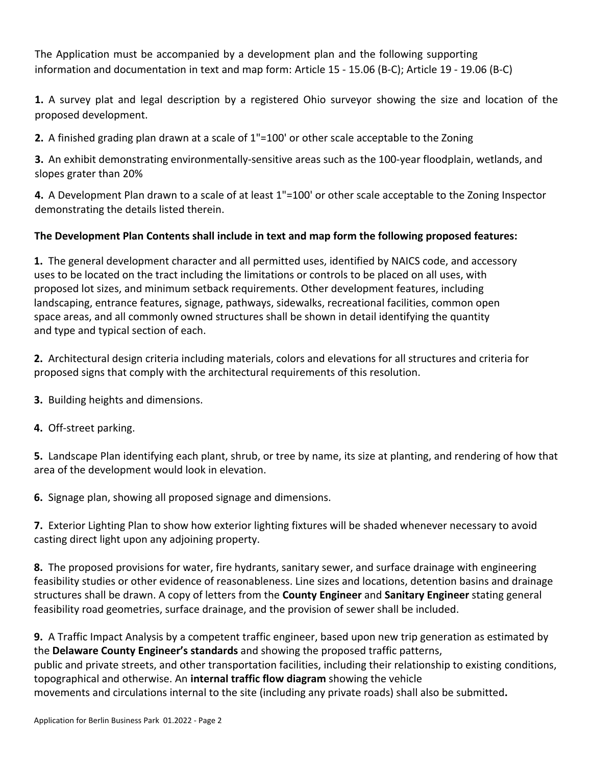# *clearly address by way of header*

and summary in sequence he followin su or in informa ion and documen a ion in e and ma form *rƚicle ϭϱ Ͳ ϭϱ͘Ϭϲ ;ͲͿ*; Article 19 - 19.06 (B-C). (WleĂƐe Ɛee teŵƉlĂte ĨŽr edžĂŵƉle)

- I) A survey plat and legal description by a registered Ohio surveyor showing the size and location of the proposed development.
- II) A finished grading plan drawn at a scale of 1"=100' or other scale acceptable to the Zoning
- III) An exhibit demonstrating environmentally-sensitive areas such as the 100-year floodplain, wetlands, and slopes grater than 20%
- IV) A Development Plan drawn to a scale of at least 1"=100' or other scale acceptable to the Zoning Inspector demonstrating the details listed therein.

# **The Development Plan Contents shall include in text and map form the following proposed features:**

**A.** The general development character and all permitted uses, identified by NAICS code, and accessory uses to be located on the tract including the limitations or controls to be placed on all uses, with proposed lot sizes, and minimum setback requirements. Other development features, including landscaping, entrance features, signage, pathways, sidewalks, recreational facilities, common open space areas, and all commonly owned structures shall be shown in detail identifying the quantity and type and typical section of each.

**B.** Architectural design criteria including materials, colors and elevations for all structures and criteria for proposed signs that comply with the architectural requirements of this resolution.

- **C.** Building heights and dimensions.
- **D.** Off-street parking.

**E.** Landscape Plan identifying each plant, shrub, or tree by name, its size at planting, and rendering of how that area of the development would look in elevation.

**F.** Signage plan, showing all proposed signage and dimensions.

**G.** Exterior Lighting Plan to show how exterior lighting fixtures will be shaded whenever necessary to avoid casting direct light upon any adjoining property.

**H.** The proposed provisions for water, fire hydrants, sanitary sewer, and surface drainage with engineering feasibility studies or other evidence of reasonableness. Line sizes and locations, detention basins and drainage structures shall be drawn. A copy of letters from the **County Engineer** and **Sanitary Engineer** stating general feasibility road geometries, surface drainage, and the provision of sewer shall be included.

**I.** A Traffic Impact Analysis by a competent traffic engineer, based upon new trip generation as estimated by the **Delaware County Engineer's standards** and showing the proposed traffic patterns, public and private streets, and other transportation facilities, including their relationship to existing conditions, topographical and otherwise. An **internal traffic flow diagram** showing the vehicle movements and circulations internal to the site (including any private roads) shall also be submitted**.**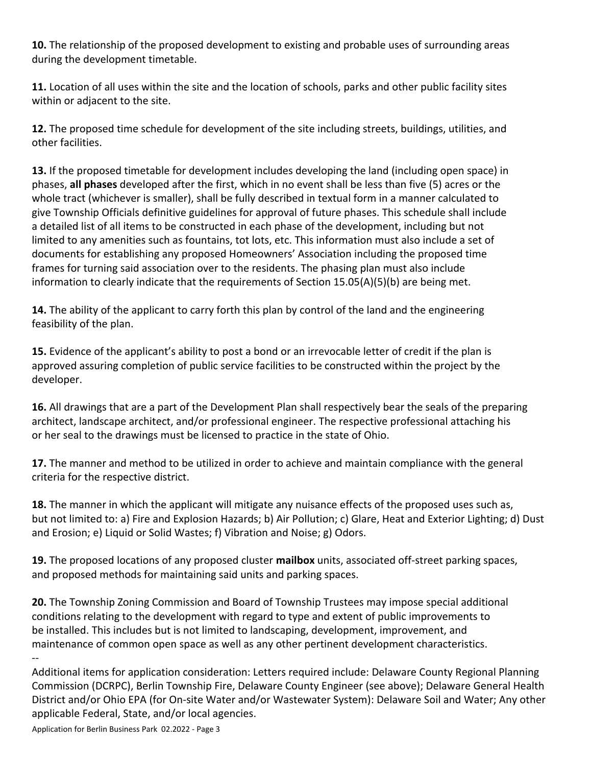**J.** The relationship of the proposed development to existing and probable uses of surrounding areas during the development timetable.

**K.** Location of all uses within the site and the location of schools, parks and other public facility sites within or adjacent to the site.

**L.** The proposed time schedule for development of the site including streets, buildings, utilities, and other facilities.

**M.** If the proposed timetable for development includes developing the land (including open space) in phases, **all phases** developed after the first, which in no event shall be less than five (5) acres or the whole tract (whichever is smaller), shall be fully described in textual form in a manner calculated to give Township Officials definitive guidelines for approval of future phases. This schedule shall include a detailed list of all items to be constructed in each phase of the development, including but not limited to any amenities such as fountains, tot lots, etc. This information must also include a set of documents for establishing any proposed Homeowners' Association including the proposed time frames for turning said association over to the residents. The phasing plan must also include information to clearly indicate that the requirements of Section 15.05(A)(5)(b) are being met.

**N.** The ability of the applicant to carry forth this plan by control of the land and the engineering feasibility of the plan.

**O.** Evidence of the applicant's ability to post a bond or an irrevocable letter of credit if the plan is approved assuring completion of public service facilities to be constructed within the project by the developer.

**P.** All drawings that are a part of the Development Plan shall respectively bear the seals of the preparing architect, landscape architect, and/or professional engineer. The respective professional attaching his or her seal to the drawings must be licensed to practice in the state of Ohio.

**Q.** The manner and method to be utilized in order to achieve and maintain compliance with the general criteria for the respective district.

**R.** The manner in which the applicant will mitigate any nuisance effects of the proposed uses such as, but not limited to: a) Fire and Explosion Hazards; b) Air Pollution; c) Glare, Heat and Exterior Lighting; d) Dust and Erosion; e) Liquid or Solid Wastes; f) Vibration and Noise; g) Odors.

**S.** The proposed locations of any proposed cluster **mailbox** units, associated off-street parking spaces, and proposed methods for maintaining said units and parking spaces.

**T.** Letters required include: Delaware County Regional Planning Commission (DCRPC), Berlin Township Fire, Delaware County Engineer (see above); Delaware General Health District and/or Ohio EPA (for On-site Water and/or Wastewater System): Delaware Soil and Water; Any other applicable Federal, State, and/or local agencies.

**U.** The Township Zoning Commission and Board of Township Trustees may impose special additional conditions relating to the development with regard to type and extent of public improvements to be installed. This includes but is not limited to landscaping, development, improvement, and maintenance of common open space as well as any other pertinent development characteristics.